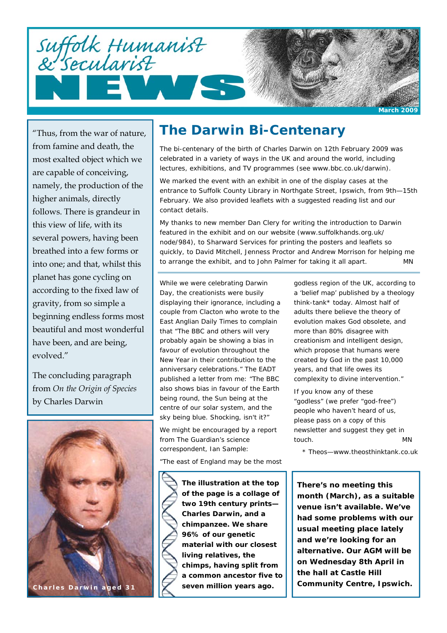

"Thus, from the war of nature, from famine and death, the most exalted object which we are capable of conceiving, namely, the production of the higher animals, directly follows. There is grandeur in this view of life, with its several powers, having been breathed into a few forms or into one; and that, whilst this planet has gone cycling on according to the fixed law of gravity, from so simple a beginning endless forms most beautiful and most wonderful have been, and are being, evolved."

The concluding paragraph from *On the Origin of Species*  by Charles Darwin



### **The Darwin Bi-Centenary**

The bi-centenary of the birth of Charles Darwin on 12th February 2009 was celebrated in a variety of ways in the UK and around the world, including lectures, exhibitions, and TV programmes (see www.bbc.co.uk/darwin).

We marked the event with an exhibit in one of the display cases at the entrance to Suffolk County Library in Northgate Street, Ipswich, from 9th—15th February. We also provided leaflets with a suggested reading list and our contact details.

My thanks to new member Dan Clery for writing the introduction to Darwin featured in the exhibit and on our website (www.suffolkhands.org.uk/ node/984), to Sharward Services for printing the posters and leaflets so quickly, to David Mitchell, Jenness Proctor and Andrew Morrison for helping me to arrange the exhibit, and to John Palmer for taking it all apart. *MN*

While we were celebrating Darwin Day, the creationists were busily displaying their ignorance, including a couple from Clacton who wrote to the East Anglian Daily Times to complain that "The BBC and others will very probably again be showing a bias in favour of evolution throughout the New Year in their contribution to the anniversary celebrations." The EADT published a letter from me: "The BBC also shows bias in favour of the Earth being round, the Sun being at the centre of our solar system, and the sky being blue. Shocking, isn't it?"

We might be encouraged by a report from The Guardian's science correspondent, Ian Sample:

"The east of England may be the most

**The illustration at the top of the page is a collage of two 19th century prints— Charles Darwin, and a chimpanzee. We share 96% of our genetic material with our closest living relatives, the chimps, having split from a common ancestor five to seven million years ago.** 

godless region of the UK, according to a 'belief map' published by a theology think-tank\* today. Almost half of adults there believe the theory of evolution makes God obsolete, and more than 80% disagree with creationism and intelligent design, which propose that humans were created by God in the past 10,000 years, and that life owes its complexity to divine intervention."

If you know any of these "godless" (we prefer "god-free") people who haven't heard of us, please pass on a copy of this newsletter and suggest they get in touch. *MN*

\* Theos—www.theosthinktank.co.uk

**There's no meeting this month (March), as a suitable venue isn't available. We've had some problems with our usual meeting place lately and we're looking for an alternative. Our AGM will be on Wednesday 8th April in the hall at Castle Hill**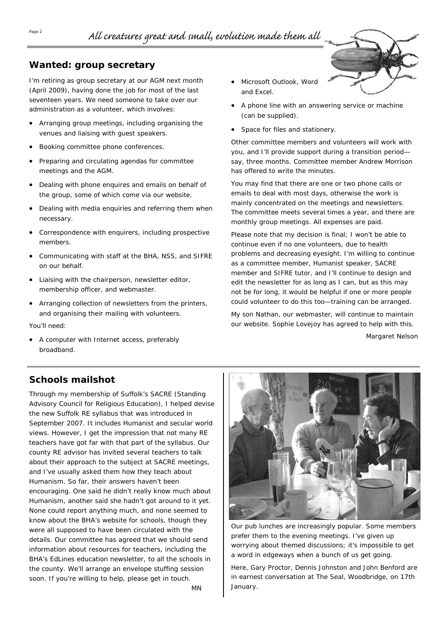#### **Wanted: group secretary**

I'm retiring as group secretary at our AGM next month (April 2009), having done the job for most of the last seventeen years. We need someone to take over our administration as a volunteer, which involves:

- Arranging group meetings, including organising the venues and liaising with guest speakers.
- Booking committee phone conferences.
- Preparing and circulating agendas for committee meetings and the AGM.
- Dealing with phone enquires and emails on behalf of the group, some of which come via our website.
- Dealing with media enquiries and referring them when necessary.
- Correspondence with enquirers, including prospective members.
- Communicating with staff at the BHA, NSS, and SIFRE on our behalf.
- Liaising with the chairperson, newsletter editor, membership officer, and webmaster.
- Arranging collection of newsletters from the printers, and organising their mailing with volunteers. You'll need:
- A computer with Internet access, preferably broadband.

• Microsoft Outlook, Word and Excel.



- A phone line with an answering service or machine (can be supplied).
- Space for files and stationery.

Other committee members and volunteers will work with you, and I'll provide support during a transition period say, three months. Committee member Andrew Morrison has offered to write the minutes.

You may find that there are one or two phone calls or emails to deal with most days, otherwise the work is mainly concentrated on the meetings and newsletters. The committee meets several times a year, and there are monthly group meetings. All expenses are paid.

Please note that my decision is final; I won't be able to continue even if no one volunteers, due to health problems and decreasing eyesight. I'm willing to continue as a committee member, Humanist speaker, SACRE member and SIFRE tutor, and I'll continue to design and edit the newsletter for as long as I can, but as this may not be for long, it would be helpful if one or more people could volunteer to do this too—training can be arranged.

My son Nathan, our webmaster, will continue to maintain our website. Sophie Lovejoy has agreed to help with this.

*Margaret Nelson* 

#### **Schools mailshot**

Through my membership of Suffolk's SACRE (Standing Advisory Council for Religious Education), I helped devise the new Suffolk RE syllabus that was introduced in September 2007. It includes Humanist and secular world views. However, I get the impression that not many RE teachers have got far with that part of the syllabus. Our county RE advisor has invited several teachers to talk about their approach to the subject at SACRE meetings, and I've usually asked them how they teach about Humanism. So far, their answers haven't been encouraging. One said he didn't really know much about Humanism, another said she hadn't got around to it yet. None could report anything much, and none seemed to know about the BHA's website for schools, though they were all supposed to have been circulated with the details. Our committee has agreed that we should send information about resources for teachers, including the BHA's EdLines education newsletter, to all the schools in the county. We'll arrange an envelope stuffing session soon. If you're willing to help, please get in touch.



Our pub lunches are increasingly popular. Some members prefer them to the evening meetings. I've given up worrying about themed discussions; it's impossible to get a word in edgeways when a bunch of us get going.

Here, Gary Proctor, Dennis Johnston and John Benford are in earnest conversation at The Seal, Woodbridge, on 17th January.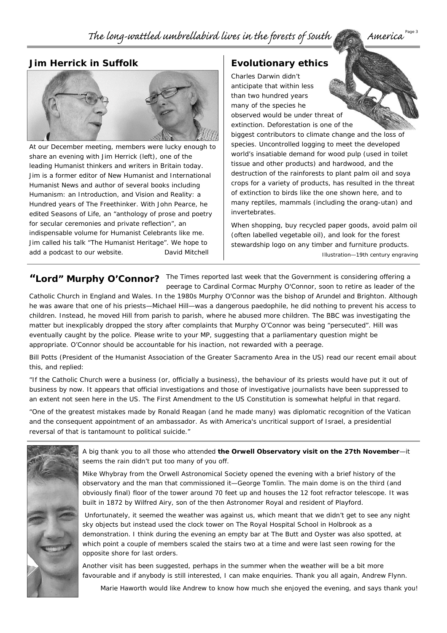#### **Jim Herrick in Suffolk**



At our December meeting, members were lucky enough to share an evening with Jim Herrick (left), one of the leading Humanist thinkers and writers in Britain today. Jim is a former editor of New Humanist and International Humanist News and author of several books including *Humanism: an Introduction*, and *Vision and Reality: a Hundred years of The Freethinker*. With John Pearce, he edited *Seasons of Life*, an "anthology of prose and poetry for secular ceremonies and private reflection", an indispensable volume for Humanist Celebrants like me. Jim called his talk "The Humanist Heritage". We hope to add a podcast to our website. *David Mitchell*

#### **Evolutionary ethics**

Charles Darwin didn't anticipate that within less than two hundred years many of the species he observed would be under threat of extinction. Deforestation is one of the biggest contributors to climate change and the loss of species. Uncontrolled logging to meet the developed world's insatiable demand for wood pulp (used in toilet tissue and other products) and hardwood, and the destruction of the rainforests to plant palm oil and soya crops for a variety of products, has resulted in the threat of extinction to birds like the one shown here, and to many reptiles, mammals (including the orang-utan) and invertebrates.

When shopping, buy recycled paper goods, avoid palm oil (often labelled vegetable oil), and look for the forest stewardship logo on any timber and furniture products. *Illustration—19th century engraving* 

"Lord" Murphy O'Connor? The Times reported last week that the Government is considering offering a peerage to Cardinal Cormac Murphy O'Connor, soon to retire as leader of the

Catholic Church in England and Wales. In the 1980s Murphy O'Connor was the bishop of Arundel and Brighton. Although he was aware that one of his priests—Michael Hill—was a dangerous paedophile, he did nothing to prevent his access to children. Instead, he moved Hill from parish to parish, where he abused more children. The BBC was investigating the matter but inexplicably dropped the story after complaints that Murphy O'Connor was being "persecuted". Hill was eventually caught by the police. Please write to your MP, suggesting that a parliamentary question might be appropriate. O'Connor should be accountable for his inaction, not rewarded with a peerage.

Bill Potts (President of the Humanist Association of the Greater Sacramento Area in the US) read our recent email about this, and replied:

"If the Catholic Church were a business (or, officially a business), the behaviour of its priests would have put it out of business by now. It appears that official investigations and those of investigative journalists have been suppressed to an extent not seen here in the US. The First Amendment to the US Constitution is somewhat helpful in that regard.

"One of the greatest mistakes made by Ronald Reagan (and he made many) was diplomatic recognition of the Vatican and the consequent appointment of an ambassador. As with America's uncritical support of Israel, a presidential reversal of that is tantamount to political suicide."



*Marie Haworth would like Andrew to know how much she enjoyed the evening, and says thank you!*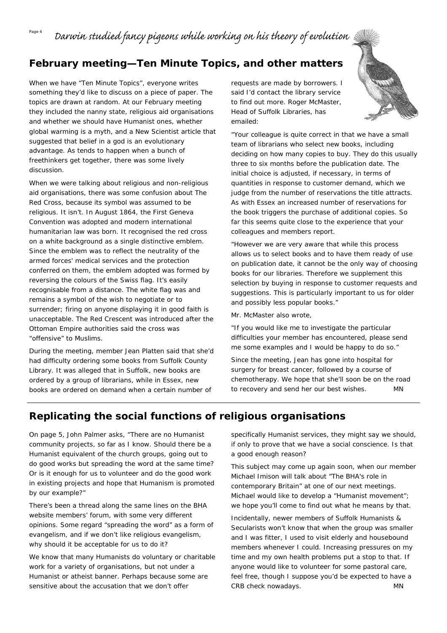### $P_{\text{age 4}}$  Darwin studied fancy pigeons while working on his theory of evolution

### **February meeting—Ten Minute Topics, and other matters**

When we have "Ten Minute Topics", everyone writes something they'd like to discuss on a piece of paper. The topics are drawn at random. At our February meeting they included the nanny state, religious aid organisations and whether we should have Humanist ones, whether global warming is a myth, and a New Scientist article that suggested that belief in a god is an evolutionary advantage. As tends to happen when a bunch of freethinkers get together, there was some lively discussion.

When we were talking about religious and non-religious aid organisations, there was some confusion about The Red Cross, because its symbol was assumed to be religious. It isn't. In August 1864, the First Geneva Convention was adopted and modern international humanitarian law was born. It recognised the red cross on a white background as a single distinctive emblem. Since the emblem was to reflect the neutrality of the armed forces' medical services and the protection conferred on them, the emblem adopted was formed by reversing the colours of the Swiss flag. It's easily recognisable from a distance. The white flag was and remains a symbol of the wish to negotiate or to surrender; firing on anyone displaying it in good faith is unacceptable. The Red Crescent was introduced after the Ottoman Empire authorities said the cross was "offensive" to Muslims.

During the meeting, member Jean Platten said that she'd had difficulty ordering some books from Suffolk County Library. It was alleged that in Suffolk, new books are ordered by a group of librarians, while in Essex, new books are ordered on demand when a certain number of

requests are made by borrowers. I said I'd contact the library service to find out more. Roger McMaster, Head of Suffolk Libraries, has emailed:



"Your colleague is quite correct in that we have a small team of librarians who select new books, including deciding on how many copies to buy. They do this usually three to six months before the publication date. The initial choice is adjusted, if necessary, in terms of quantities in response to customer demand, which we judge from the number of reservations the title attracts. As with Essex an increased number of reservations for the book triggers the purchase of additional copies. So far this seems quite close to the experience that your colleagues and members report.

"However we are very aware that while this process allows us to select books and to have them ready of use on publication date, it cannot be the only way of choosing books for our libraries. Therefore we supplement this selection by buying in response to customer requests and suggestions. This is particularly important to us for older and possibly less popular books."

Mr. McMaster also wrote,

"If you would like me to investigate the particular difficulties your member has encountered, please send me some examples and I would be happy to do so."

Since the meeting, Jean has gone into hospital for surgery for breast cancer, followed by a course of chemotherapy. We hope that she'll soon be on the road to recovery and send her our best wishes. *MN* 

### **Replicating the social functions of religious organisations**

On page 5, John Palmer asks, "There are no Humanist community projects, so far as I know. Should there be a Humanist equivalent of the church groups, going out to do good works but spreading the word at the same time? Or is it enough for us to volunteer and do the good work in existing projects and hope that Humanism is promoted by our example?"

There's been a thread along the same lines on the BHA website members' forum, with some very different opinions. Some regard "spreading the word" as a form of evangelism, and if we don't like religious evangelism, why should it be acceptable for us to do it?

We know that many Humanists do voluntary or charitable work for a variety of organisations, but not under a Humanist or atheist banner. Perhaps because some are sensitive about the accusation that we don't offer

specifically Humanist services, they might say we should, if only to prove that we have a social conscience. Is that a good enough reason?

This subject may come up again soon, when our member Michael Imison will talk about "The BHA's role in contemporary Britain" at one of our next meetings. Michael would like to develop a "Humanist movement"; we hope you'll come to find out what he means by that.

Incidentally, newer members of Suffolk Humanists & Secularists won't know that when the group was smaller and I was fitter, I used to visit elderly and housebound members whenever I could. Increasing pressures on my time and my own health problems put a stop to that. If anyone would like to volunteer for some pastoral care, feel free, though I suppose you'd be expected to have a CRB check nowadays. *MN*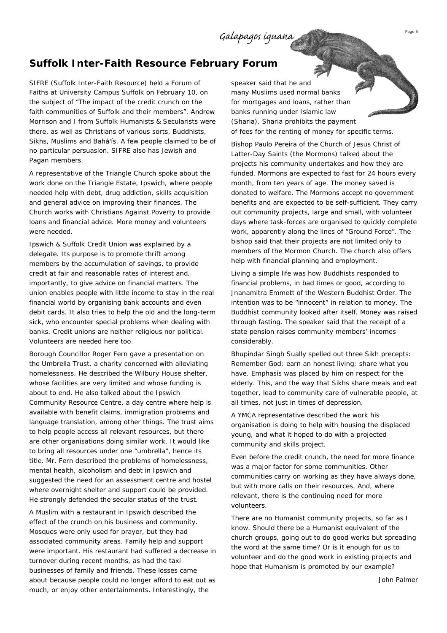#### **Suffolk Inter-Faith Resource February Forum**

SIFRE (Suffolk Inter-Faith Resource) held a Forum of Faiths at University Campus Suffolk on February 10, on the subject of "The impact of the credit crunch on the faith communities of Suffolk and their members". Andrew Morrison and I from Suffolk Humanists & Secularists were there, as well as Christians of various sorts, Buddhists, Sikhs, Muslims and Bahá'ís. A few people claimed to be of no particular persuasion. SIFRE also has Jewish and Pagan members.

A representative of the Triangle Church spoke about the work done on the Triangle Estate, Ipswich, where people needed help with debt, drug addiction, skills acquisition and general advice on improving their finances. The Church works with Christians Against Poverty to provide loans and financial advice. More money and volunteers were needed.

Ipswich & Suffolk Credit Union was explained by a delegate. Its purpose is to promote thrift among members by the accumulation of savings, to provide credit at fair and reasonable rates of interest and, importantly, to give advice on financial matters. The union enables people with little income to stay in the real financial world by organising bank accounts and even debit cards. It also tries to help the old and the long-term sick, who encounter special problems when dealing with banks. Credit unions are neither religious nor political. Volunteers are needed here too.

Borough Councillor Roger Fern gave a presentation on the Umbrella Trust, a charity concerned with alleviating homelessness. He described the Wilbury House shelter, whose facilities are very limited and whose funding is about to end. He also talked about the Ipswich Community Resource Centre, a day centre where help is available with benefit claims, immigration problems and language translation, among other things. The trust aims to help people access all relevant resources, but there are other organisations doing similar work. It would like to bring all resources under one "umbrella", hence its title. Mr. Fern described the problems of homelessness, mental health, alcoholism and debt in Ipswich and suggested the need for an assessment centre and hostel where overnight shelter and support could be provided. He strongly defended the secular status of the trust.

A Muslim with a restaurant in Ipswich described the effect of the crunch on his business and community. Mosques were only used for prayer, but they had associated community areas. Family help and support were important. His restaurant had suffered a decrease in turnover during recent months, as had the taxi businesses of family and friends. These losses came about because people could no longer afford to eat out as much, or enjoy other entertainments. Interestingly, the

speaker said that he and many Muslims used normal banks for mortgages and loans, rather than banks running under Islamic law (Sharia). Sharia prohibits the payment of fees for the renting of money for specific terms.

Bishop Paulo Pereira of the Church of Jesus Christ of Latter-Day Saints (the Mormons) talked about the projects his community undertakes and how they are funded. Mormons are expected to fast for 24 hours every month, from ten years of age. The money saved is donated to welfare. The Mormons accept no government benefits and are expected to be self-sufficient. They carry out community projects, large and small, with volunteer days where task-forces are organised to quickly complete work, apparently along the lines of "Ground Force". The bishop said that their projects are not limited only to members of the Mormon Church. The church also offers help with financial planning and employment.

Living a simple life was how Buddhists responded to financial problems, in bad times or good, according to Jnanamitra Emmett of the Western Buddhist Order. The intention was to be "innocent" in relation to money. The Buddhist community looked after itself. Money was raised through fasting. The speaker said that the receipt of a state pension raises community members' incomes considerably.

Bhupindar Singh Sually spelled out three Sikh precepts: Remember God; earn an honest living; share what you have. Emphasis was placed by him on respect for the elderly. This, and the way that Sikhs share meals and eat together, lead to community care of vulnerable people, at all times, not just in times of depression.

A YMCA representative described the work his organisation is doing to help with housing the displaced young, and what it hoped to do with a projected community and skills project.

Even before the credit crunch, the need for more finance was a major factor for some communities. Other communities carry on working as they have always done, but with more calls on their resources. And, where relevant, there is the continuing need for more volunteers.

There are no Humanist community projects, so far as I know. Should there be a Humanist equivalent of the church groups, going out to do good works but spreading the word at the same time? Or is it enough for us to volunteer and do the good work in existing projects and hope that Humanism is promoted by our example?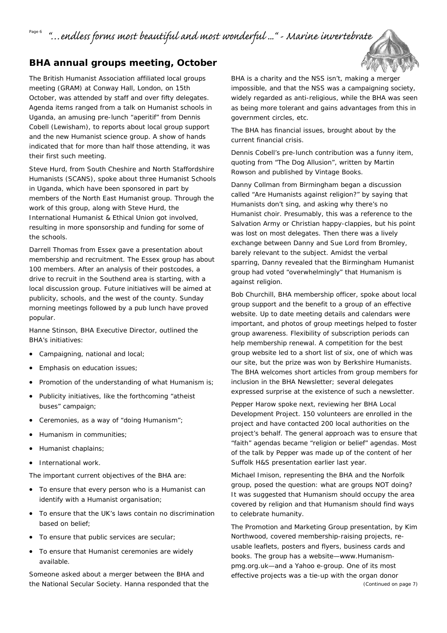<sup>Page 6</sup> "…endless forms most beautiful and most wonderful …" - Marine invertebrate

#### **BHA annual groups meeting, October**

The British Humanist Association affiliated local groups meeting (GRAM) at Conway Hall, London, on 15th October, was attended by staff and over fifty delegates. Agenda items ranged from a talk on Humanist schools in Uganda, an amusing pre-lunch "aperitif" from Dennis Cobell (Lewisham), to reports about local group support and the new Humanist science group. A show of hands indicated that for more than half those attending, it was their first such meeting.

Steve Hurd, from South Cheshire and North Staffordshire Humanists (SCANS), spoke about three Humanist Schools in Uganda, which have been sponsored in part by members of the North East Humanist group. Through the work of this group, along with Steve Hurd, the International Humanist & Ethical Union got involved, resulting in more sponsorship and funding for some of the schools.

Darrell Thomas from Essex gave a presentation about membership and recruitment. The Essex group has about 100 members. After an analysis of their postcodes, a drive to recruit in the Southend area is starting, with a local discussion group. Future initiatives will be aimed at publicity, schools, and the west of the county. Sunday morning meetings followed by a pub lunch have proved popular.

Hanne Stinson, BHA Executive Director, outlined the BHA's initiatives:

- Campaigning, national and local;
- Emphasis on education issues;
- Promotion of the understanding of what Humanism is;
- Publicity initiatives, like the forthcoming "atheist buses" campaign;
- Ceremonies, as a way of "doing Humanism";
- Humanism in communities;
- Humanist chaplains;
- International work.

The important current objectives of the BHA are:

- To ensure that every person who is a Humanist can identify with a Humanist organisation;
- To ensure that the UK's laws contain no discrimination based on belief;
- To ensure that public services are secular;
- To ensure that Humanist ceremonies are widely available.

Someone asked about a merger between the BHA and the National Secular Society. Hanna responded that the BHA is a charity and the NSS isn't, making a merger impossible, and that the NSS was a campaigning society, widely regarded as anti-religious, while the BHA was seen as being more tolerant and gains advantages from this in government circles, etc.

The BHA has financial issues, brought about by the current financial crisis.

Dennis Cobell's pre-lunch contribution was a funny item, quoting from "The Dog Allusion", written by Martin Rowson and published by Vintage Books.

Danny Collman from Birmingham began a discussion called "Are Humanists against religion?" by saying that Humanists don't sing, and asking why there's no Humanist choir. Presumably, this was a reference to the Salvation Army or Christian happy-clappies, but his point was lost on most delegates. Then there was a lively exchange between Danny and Sue Lord from Bromley, barely relevant to the subject. Amidst the verbal sparring, Danny revealed that the Birmingham Humanist group had voted "overwhelmingly" that Humanism *is*  against religion.

Bob Churchill, BHA membership officer, spoke about local group support and the benefit to a group of an effective website. Up to date meeting details and calendars were important, and photos of group meetings helped to foster group awareness. Flexibility of subscription periods can help membership renewal. A competition for the best group website led to a short list of six, one of which was our site, but the prize was won by Berkshire Humanists. The BHA welcomes short articles from group members for inclusion in the BHA Newsletter; several delegates expressed surprise at the existence of such a newsletter.

Pepper Harow spoke next, reviewing her BHA Local Development Project. 150 volunteers are enrolled in the project and have contacted 200 local authorities on the project's behalf. The general approach was to ensure that "faith" agendas became "religion or belief" agendas. Most of the talk by Pepper was made up of the content of her Suffolk H&S presentation earlier last year.

Michael Imison, representing the BHA and the Norfolk group, posed the question: what are groups NOT doing? It was suggested that Humanism should occupy the area covered by religion and that Humanism should find ways to celebrate humanity.

The Promotion and Marketing Group presentation, by Kim Northwood, covered membership-raising projects, reusable leaflets, posters and flyers, business cards and books. The group has a website—www.Humanismpmg.org.uk—and a Yahoo e-group. One of its most effective projects was a tie-up with the organ donor *(Continued on page 7)*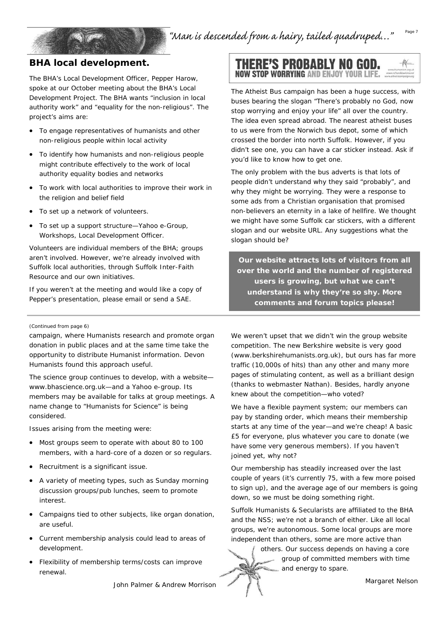#### **BHA local development.**

The BHA's Local Development Officer, Pepper Harow, spoke at our October meeting about the BHA's Local Development Project. The BHA wants "inclusion in local authority work" and "equality for the non-religious". The project's aims are:

- To engage representatives of humanists and other non-religious people within local activity
- To identify how humanists and non-religious people might contribute effectively to the work of local authority equality bodies and networks
- To work with local authorities to improve their work in the religion and belief field
- To set up a network of volunteers.
- To set up a support structure—Yahoo e-Group, Workshops, Local Development Officer.

Volunteers are individual members of the BHA; groups aren't involved. However, we're already involved with Suffolk local authorities, through Suffolk Inter-Faith Resource and our own initiatives.

If you weren't at the meeting and would like a copy of Pepper's presentation, please email or send a SAE.

#### *(Continued from page 6)*

campaign, where Humanists research and promote organ donation in public places and at the same time take the opportunity to distribute Humanist information. Devon Humanists found this approach useful.

The science group continues to develop, with a website www.bhascience.org.uk—and a Yahoo e-group. Its members may be available for talks at group meetings. A name change to "Humanists for Science" is being considered.

Issues arising from the meeting were:

- Most groups seem to operate with about 80 to 100 members, with a hard-core of a dozen or so regulars.
- Recruitment is a significant issue.
- A variety of meeting types, such as Sunday morning discussion groups/pub lunches, seem to promote interest.
- Campaigns tied to other subjects, like organ donation, are useful.
- Current membership analysis could lead to areas of development.
- Flexibility of membership terms/costs can improve renewal.

*John Palmer & Andrew Morrison* 

#### **THERE'S PROBABLY NO GOD.** NOW STOP WORRYING AND ENJOY YOUR LIFI

The Atheist Bus campaign has been a huge success, with buses bearing the slogan "There's probably no God, now stop worrying and enjoy your life" all over the country. The idea even spread abroad. The nearest atheist buses to us were from the Norwich bus depot, some of which crossed the border into north Suffolk. However, if you didn't see one, you can have a car sticker instead. Ask if you'd like to know how to get one.

The only problem with the bus adverts is that lots of people didn't understand why they said "probably", and why they might be worrying. They were a response to some ads from a Christian organisation that promised non-believers an eternity in a lake of hellfire. We thought we might have some Suffolk car stickers, with a different slogan and our website URL. Any suggestions what the slogan should be?

**Our website attracts lots of visitors from all over the world and the number of registered users is growing, but what we can't understand is why they're so shy. More comments and forum topics please!** 

We weren't upset that we didn't win the group website competition. The new Berkshire website is very good (www.berkshirehumanists.org.uk), but ours has far more traffic (10,000s of hits) than any other and many more pages of stimulating content, as well as a brilliant design (thanks to webmaster Nathan). Besides, hardly anyone knew about the competition—who voted?

We have a flexible payment system; our members can pay by standing order, which means their membership starts at any time of the year—and we're cheap! A basic £5 for everyone, plus whatever you care to donate (we have some very generous members). If you haven't joined yet, why not?

Our membership has steadily increased over the last couple of years (it's currently 75, with a few more poised to sign up), and the average age of our members is going down, so we must be doing something right.

Suffolk Humanists & Secularists are affiliated to the BHA and the NSS; we're not a branch of either. Like all local groups, we're autonomous. Some local groups are more independent than others, some are more active than

> others. Our success depends on having a core group of committed members with time and energy to spare.

> > *Margaret Nelson*